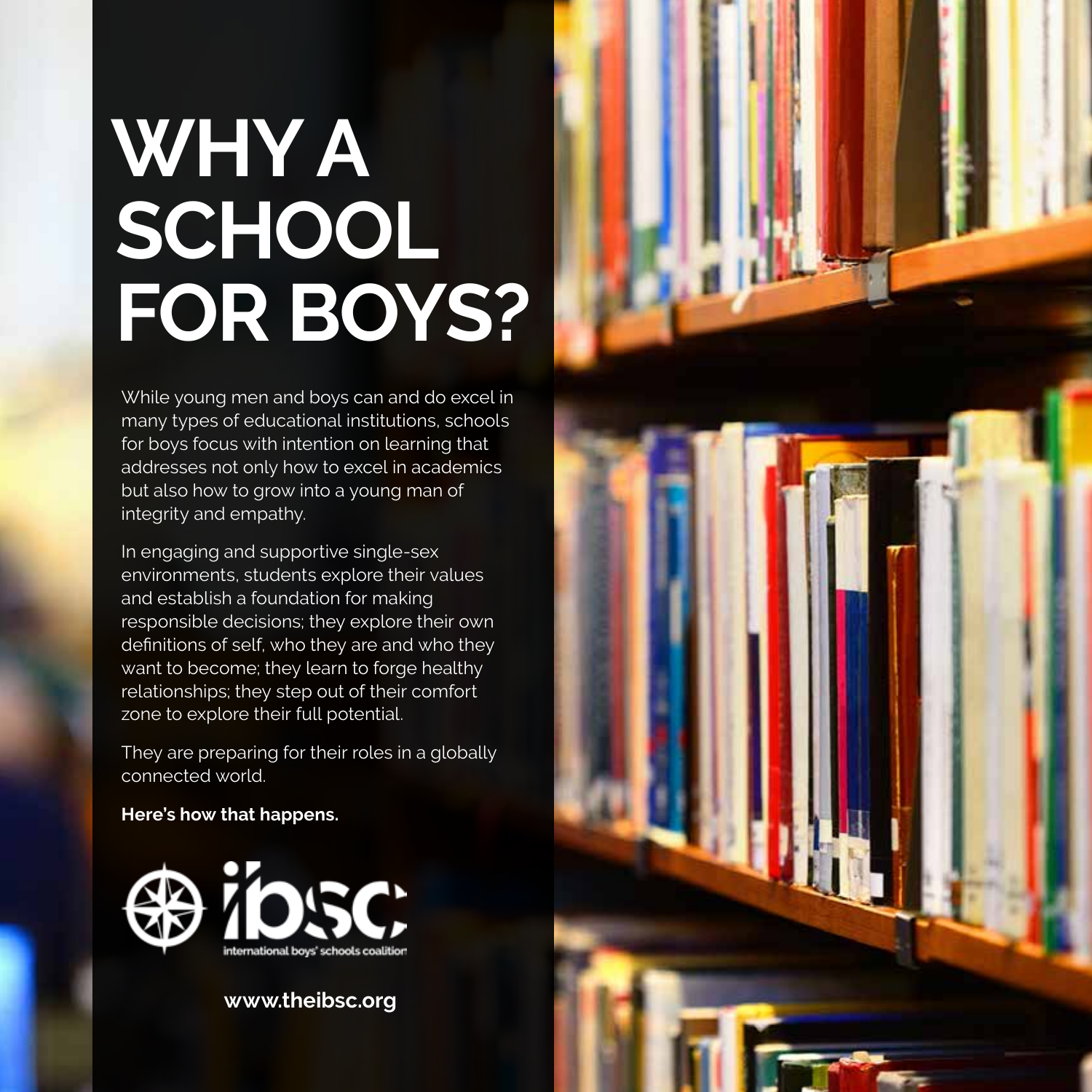# **WHY A SCHOOL FOR BOYS?**

While young men and boys can and do excel in many types of educational institutions, schools for boys focus with intention on learning that addresses not only how to excel in academics but also how to grow into a young man of integrity and empathy.

In engaging and supportive single-sex environments, students explore their values and establish a foundation for making responsible decisions; they explore their own definitions of self, who they are and who they want to become; they learn to forge healthy relationships; they step out of their comfort zone to explore their full potential.

They are preparing for their roles in a globally connected world.

**Here's how that happens.**



**www.theibsc.org**

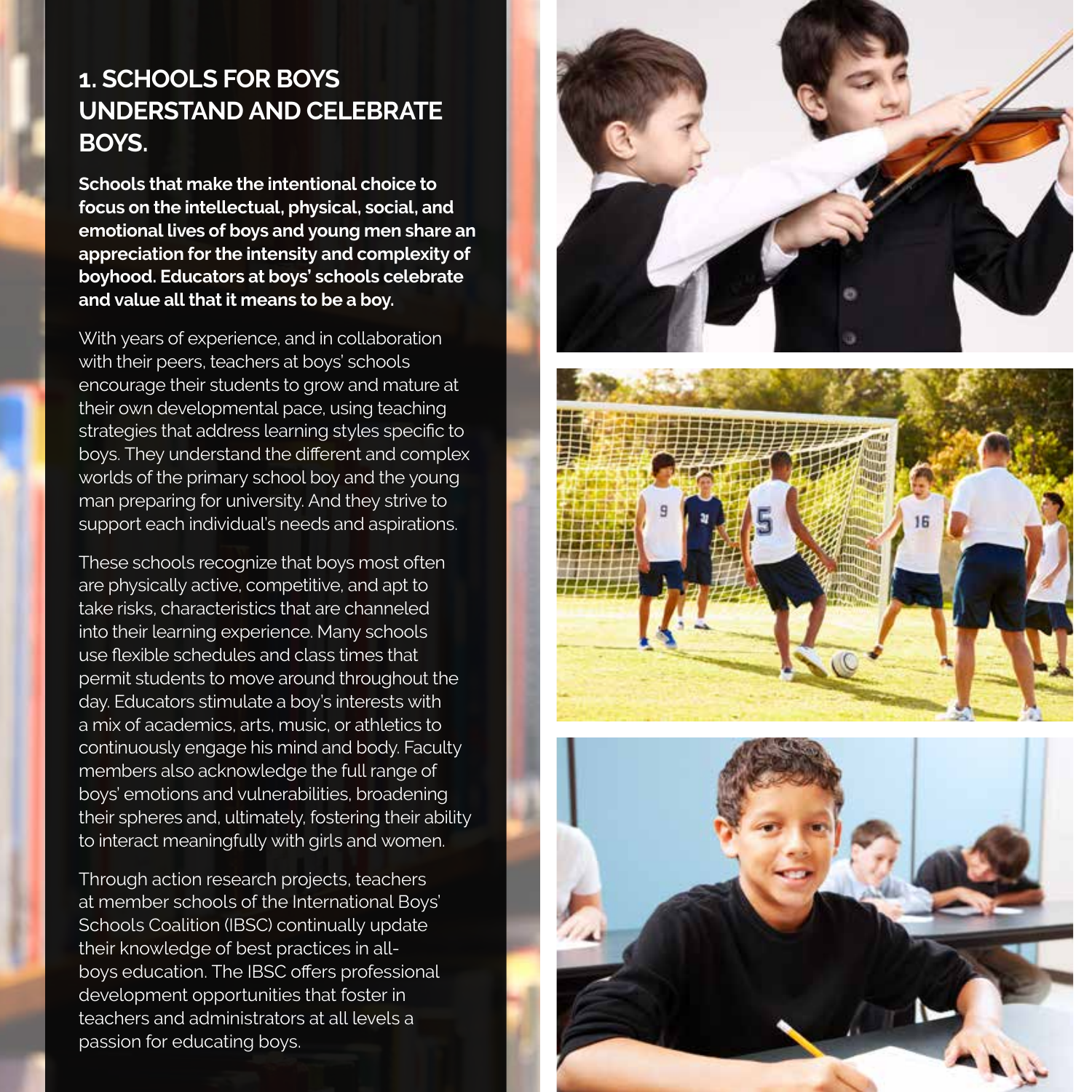# **1. SCHOOLS FOR BOYS UNDERSTAND AND CELEBRATE BOYS.**

**Schools that make the intentional choice to focus on the intellectual, physical, social, and emotional lives of boys and young men share an appreciation for the intensity and complexity of boyhood. Educators at boys' schools celebrate and value all that it means to be a boy.**

With years of experience, and in collaboration with their peers, teachers at boys' schools encourage their students to grow and mature at their own developmental pace, using teaching strategies that address learning styles specific to boys. They understand the different and complex worlds of the primary school boy and the young man preparing for university. And they strive to support each individual's needs and aspirations.

These schools recognize that boys most often are physically active, competitive, and apt to take risks, characteristics that are channeled into their learning experience. Many schools use flexible schedules and class times that permit students to move around throughout the day. Educators stimulate a boy's interests with a mix of academics, arts, music, or athletics to continuously engage his mind and body. Faculty members also acknowledge the full range of boys' emotions and vulnerabilities, broadening their spheres and, ultimately, fostering their ability to interact meaningfully with girls and women.

Through action research projects, teachers at member schools of the International Boys' Schools Coalition (IBSC) continually update their knowledge of best practices in allboys education. The IBSC offers professional development opportunities that foster in teachers and administrators at all levels a passion for educating boys.





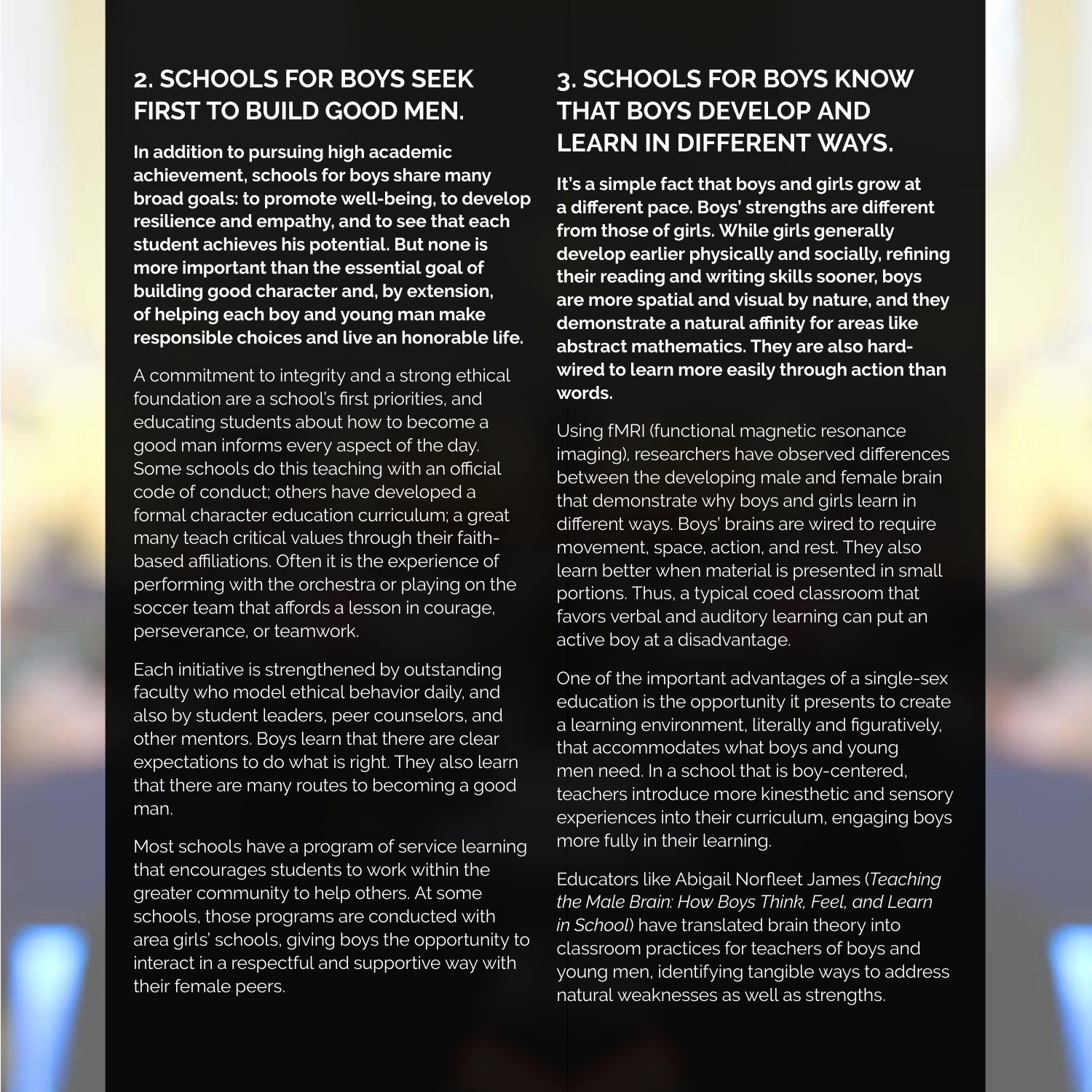#### **2. SCHOOLS FOR BOYS SEEK FIRST TO BUILD GOOD MEN.**

**In addition to pursuing high academic achievement, schools for boys share many broad goals: to promote well-being, to develop resilience and empathy, and to see that each student achieves his potential. But none is more important than the essential goal of building good character and, by extension, of helping each boy and young man make responsible choices and live an honorable life.**

A commitment to integrity and a strong ethical foundation are a school's first priorities, and educating students about how to become a good man informs every aspect of the day. Some schools do this teaching with an official code of conduct; others have developed a formal character education curriculum; a great many teach critical values through their faithbased affiliations. Often it is the experience of performing with the orchestra or playing on the soccer team that affords a lesson in courage, perseverance, or teamwork.

Each initiative is strengthened by outstanding faculty who model ethical behavior daily, and also by student leaders, peer counselors, and other mentors. Boys learn that there are clear expectations to do what is right. They also learn that there are many routes to becoming a good man.

Most schools have a program of service learning that encourages students to work within the greater community to help others. At some schools, those programs are conducted with area girls' schools, giving boys the opportunity to interact in a respectful and supportive way with their female peers.

#### **3. SCHOOLS FOR BOYS KNOW THAT BOYS DEVELOP AND LEARN IN DIFFERENT WAYS.**

**It's a simple fact that boys and girls grow at a different pace. Boys' strengths are different from those of girls. While girls generally develop earlier physically and socially, refining their reading and writing skills sooner, boys are more spatial and visual by nature, and they demonstrate a natural affinity for areas like abstract mathematics. They are also hardwired to learn more easily through action than words.**

Using fMRI (functional magnetic resonance imaging), researchers have observed differences between the developing male and female brain that demonstrate why boys and girls learn in different ways. Boys' brains are wired to require movement, space, action, and rest. They also learn better when material is presented in small portions. Thus, a typical coed classroom that favors verbal and auditory learning can put an active boy at a disadvantage.

One of the important advantages of a single-sex education is the opportunity it presents to create a learning environment, literally and figuratively, that accommodates what boys and young men need. In a school that is boy-centered, teachers introduce more kinesthetic and sensory experiences into their curriculum, engaging boys more fully in their learning.

Educators like Abigail Norfleet James (*Teaching the Male Brain: How Boys Think, Feel, and Learn in School*) have translated brain theory into classroom practices for teachers of boys and young men, identifying tangible ways to address natural weaknesses as well as strengths.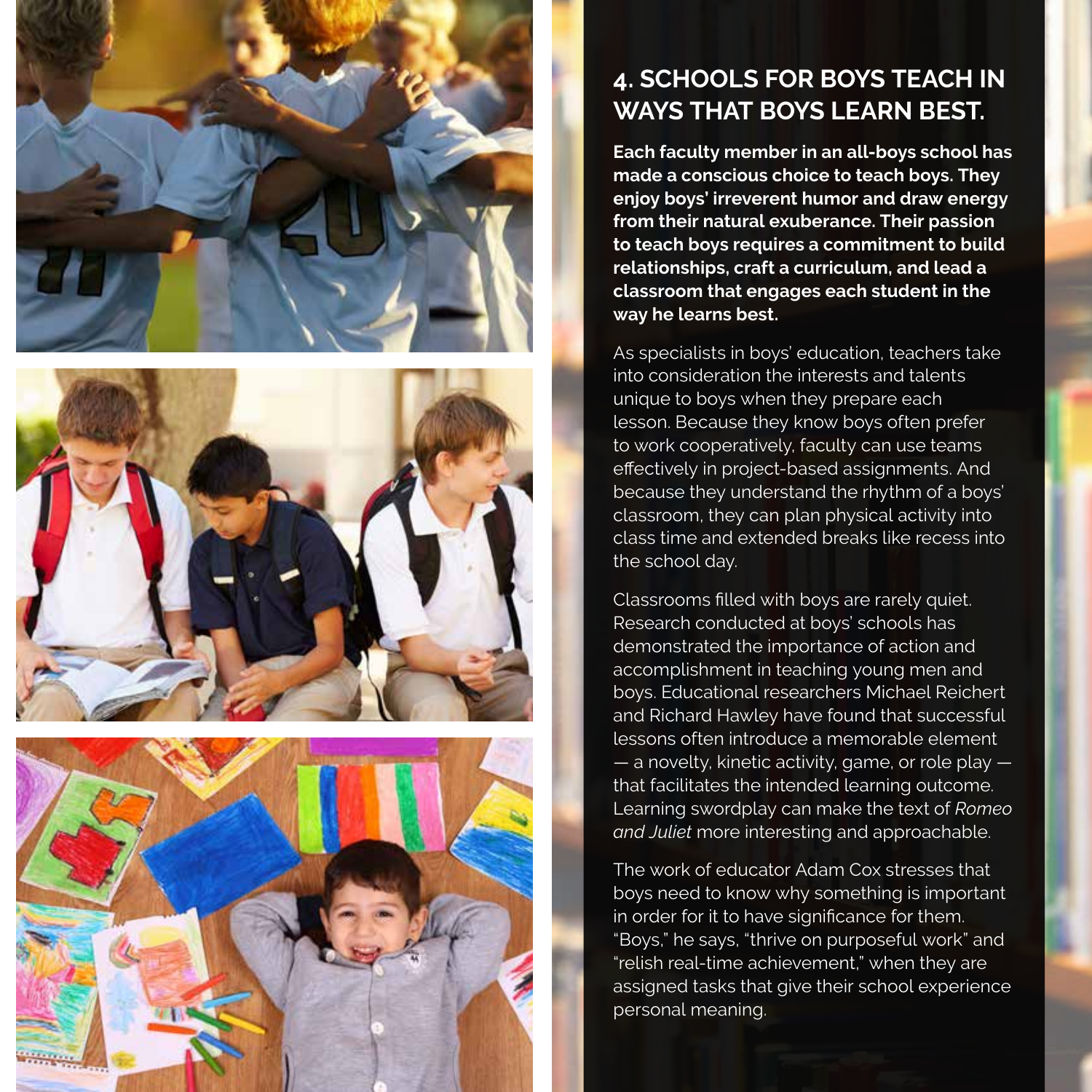





# **4. SCHOOLS FOR BOYS TEACH IN WAYS THAT BOYS LEARN BEST.**

**Each faculty member in an all-boys school has made a conscious choice to teach boys. They enjoy boys' irreverent humor and draw energy from their natural exuberance. Their passion to teach boys requires a commitment to build relationships, craft a curriculum, and lead a classroom that engages each student in the way he learns best.** 

As specialists in boys' education, teachers take into consideration the interests and talents unique to boys when they prepare each lesson. Because they know boys often prefer to work cooperatively, faculty can use teams effectively in project-based assignments. And because they understand the rhythm of a boys' classroom, they can plan physical activity into class time and extended breaks like recess into the school day.

Classrooms filled with boys are rarely quiet. Research conducted at boys' schools has demonstrated the importance of action and accomplishment in teaching young men and boys. Educational researchers Michael Reichert and Richard Hawley have found that successful lessons often introduce a memorable element  $-$  a novelty, kinetic activity, game, or role play  $$ that facilitates the intended learning outcome. Learning swordplay can make the text of *Romeo and Juliet* more interesting and approachable.

The work of educator Adam Cox stresses that boys need to know why something is important in order for it to have significance for them. "Boys," he says, "thrive on purposeful work" and "relish real-time achievement," when they are assigned tasks that give their school experience personal meaning.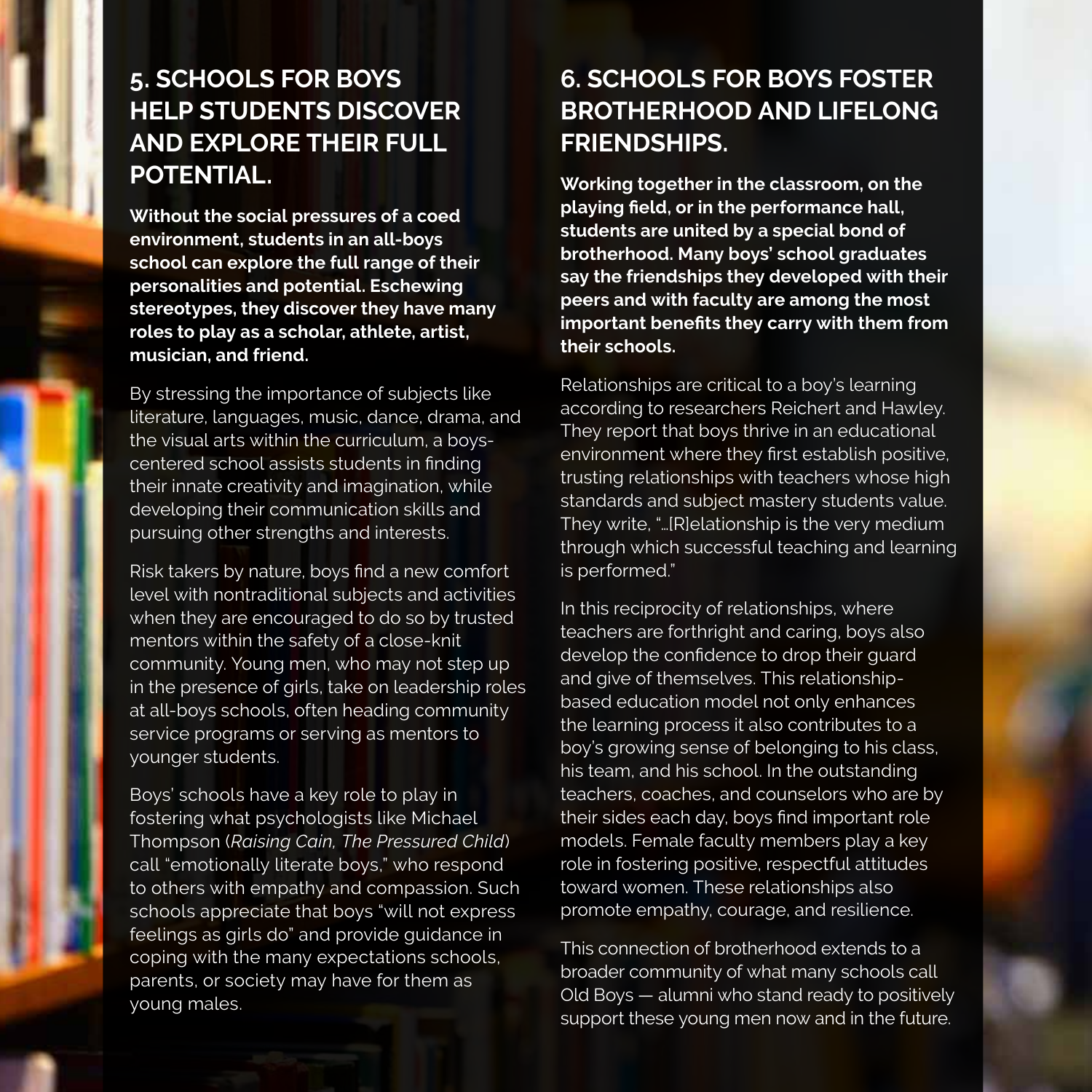# **5. SCHOOLS FOR BOYS HELP STUDENTS DISCOVER AND EXPLORE THEIR FULL POTENTIAL.**

**Without the social pressures of a coed environment, students in an all-boys school can explore the full range of their personalities and potential. Eschewing stereotypes, they discover they have many roles to play as a scholar, athlete, artist, musician, and friend.**

By stressing the importance of subjects like literature, languages, music, dance, drama, and the visual arts within the curriculum, a boyscentered school assists students in finding their innate creativity and imagination, while developing their communication skills and pursuing other strengths and interests.

Risk takers by nature, boys find a new comfort level with nontraditional subjects and activities when they are encouraged to do so by trusted mentors within the safety of a close-knit community. Young men, who may not step up in the presence of girls, take on leadership roles at all-boys schools, often heading community service programs or serving as mentors to younger students.

Boys' schools have a key role to play in fostering what psychologists like Michael Thompson (*Raising Cain, The Pressured Child*) call "emotionally literate boys," who respond to others with empathy and compassion. Such schools appreciate that boys "will not express feelings as girls do" and provide guidance in coping with the many expectations schools, parents, or society may have for them as young males.

## **6. SCHOOLS FOR BOYS FOSTER BROTHERHOOD AND LIFELONG FRIENDSHIPS.**

**Working together in the classroom, on the playing field, or in the performance hall, students are united by a special bond of brotherhood. Many boys' school graduates say the friendships they developed with their peers and with faculty are among the most important benefits they carry with them from their schools.**

Relationships are critical to a boy's learning according to researchers Reichert and Hawley. They report that boys thrive in an educational environment where they first establish positive, trusting relationships with teachers whose high standards and subject mastery students value. They write, "…[R]elationship is the very medium through which successful teaching and learning is performed."

In this reciprocity of relationships, where teachers are forthright and caring, boys also develop the confidence to drop their guard and give of themselves. This relationshipbased education model not only enhances the learning process it also contributes to a boy's growing sense of belonging to his class, his team, and his school. In the outstanding teachers, coaches, and counselors who are by their sides each day, boys find important role models. Female faculty members play a key role in fostering positive, respectful attitudes toward women. These relationships also promote empathy, courage, and resilience.

This connection of brotherhood extends to a broader community of what many schools call Old Boys — alumni who stand ready to positively support these young men now and in the future.